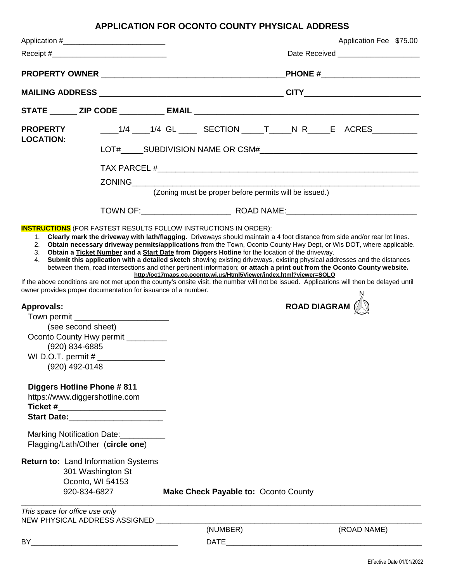## **APPLICATION FOR OCONTO COUNTY PHYSICAL ADDRESS**

|                                     | Application #________________________________                                       |                                                                    |                                        | Application Fee \$75.00                                                                                                                                    |  |
|-------------------------------------|-------------------------------------------------------------------------------------|--------------------------------------------------------------------|----------------------------------------|------------------------------------------------------------------------------------------------------------------------------------------------------------|--|
|                                     |                                                                                     |                                                                    |                                        | Date Received ________________________                                                                                                                     |  |
|                                     |                                                                                     |                                                                    | <b>PHONE #________________________</b> |                                                                                                                                                            |  |
|                                     |                                                                                     |                                                                    |                                        |                                                                                                                                                            |  |
|                                     |                                                                                     |                                                                    |                                        |                                                                                                                                                            |  |
| <b>PROPERTY</b><br><b>LOCATION:</b> |                                                                                     |                                                                    |                                        | ____1/4 ____1/4 GL ____ SECTION _____T _____N R_____E ACRES__________                                                                                      |  |
|                                     |                                                                                     |                                                                    |                                        |                                                                                                                                                            |  |
|                                     |                                                                                     |                                                                    |                                        | TAX PARCEL $#$                                                                                                                                             |  |
|                                     |                                                                                     |                                                                    |                                        |                                                                                                                                                            |  |
|                                     |                                                                                     | (Zoning must be proper before permits will be issued.)             |                                        |                                                                                                                                                            |  |
|                                     |                                                                                     |                                                                    |                                        |                                                                                                                                                            |  |
|                                     | owner provides proper documentation for issuance of a number.                       | http://oc17maps.co.oconto.wi.us/Html5Viewer/index.html?viewer=SOLO |                                        | If the above conditions are not met upon the county's onsite visit, the number will not be issued. Applications will then be delayed until<br>ROAD DIAGRAM |  |
| <b>Approvals:</b>                   |                                                                                     |                                                                    |                                        |                                                                                                                                                            |  |
|                                     |                                                                                     |                                                                    |                                        |                                                                                                                                                            |  |
|                                     | (see second sheet)<br>Oconto County Hwy permit _________                            |                                                                    |                                        |                                                                                                                                                            |  |
|                                     | (920) 834-6885                                                                      |                                                                    |                                        |                                                                                                                                                            |  |
| WI D.O.T. permit #                  |                                                                                     |                                                                    |                                        |                                                                                                                                                            |  |
|                                     | (920) 492-0148                                                                      |                                                                    |                                        |                                                                                                                                                            |  |
|                                     | <b>Diggers Hotline Phone #811</b>                                                   |                                                                    |                                        |                                                                                                                                                            |  |
|                                     | https://www.diggershotline.com<br>Ticket #___________________________               |                                                                    |                                        |                                                                                                                                                            |  |
|                                     | Start Date: Management Charles and Start Date:                                      |                                                                    |                                        |                                                                                                                                                            |  |
|                                     | Marking Notification Date:                                                          |                                                                    |                                        |                                                                                                                                                            |  |
|                                     | Flagging/Lath/Other (circle one)                                                    |                                                                    |                                        |                                                                                                                                                            |  |
|                                     | <b>Return to: Land Information Systems</b><br>301 Washington St<br>Oconto, WI 54153 |                                                                    |                                        |                                                                                                                                                            |  |
|                                     | 920-834-6827                                                                        | Make Check Payable to: Oconto County                               |                                        |                                                                                                                                                            |  |
|                                     | This space for office use only                                                      |                                                                    |                                        |                                                                                                                                                            |  |
|                                     | NEW PHYSICAL ADDRESS ASSIGNED                                                       | (NUMBER)                                                           |                                        |                                                                                                                                                            |  |
|                                     |                                                                                     |                                                                    |                                        | (ROAD NAME)                                                                                                                                                |  |